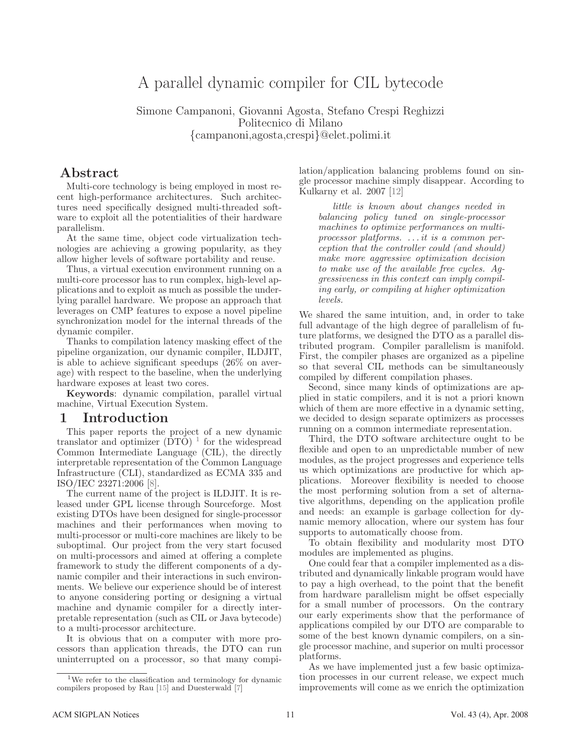# A parallel dynamic compiler for CIL bytecode

Simone Campanoni, Giovanni Agosta, Stefano Crespi Reghizzi Politecnico di Milano {campanoni,agosta,crespi}@elet.polimi.it

# Abstract

Multi-core technology is being employed in most recent high-performance architectures. Such architectures need specifically designed multi-threaded software to exploit all the potentialities of their hardware parallelism.

At the same time, object code virtualization technologies are achieving a growing popularity, as they allow higher levels of software portability and reuse.

Thus, a virtual execution environment running on a multi-core processor has to run complex, high-level applications and to exploit as much as possible the underlying parallel hardware. We propose an approach that leverages on CMP features to expose a novel pipeline synchronization model for the internal threads of the dynamic compiler.

Thanks to compilation latency masking effect of the pipeline organization, our dynamic compiler, ILDJIT, is able to achieve significant speedups (26% on average) with respect to the baseline, when the underlying hardware exposes at least two cores.

Keywords: dynamic compilation, parallel virtual machine, Virtual Execution System.

# 1 Introduction

This paper reports the project of a new dynamic translator and optimizer  $(DTO)^{-1}$  for the widespread Common Intermediate Language (CIL), the directly interpretable representation of the Common Language Infrastructure (CLI), standardized as ECMA 335 and ISO/IEC 23271:2006 [8].

The current name of the project is ILDJIT. It is released under GPL license through Sourceforge. Most existing DTOs have been designed for single-processor machines and their performances when moving to multi-processor or multi-core machines are likely to be suboptimal. Our project from the very start focused on multi-processors and aimed at offering a complete framework to study the different components of a dynamic compiler and their interactions in such environments. We believe our experience should be of interest to anyone considering porting or designing a virtual machine and dynamic compiler for a directly interpretable representation (such as CIL or Java bytecode) to a multi-processor architecture.

It is obvious that on a computer with more processors than application threads, the DTO can run uninterrupted on a processor, so that many compilation/application balancing problems found on single processor machine simply disappear. According to Kulkarny et al. 2007 [12]

little is known about changes needed in balancing policy tuned on single-processor machines to optimize performances on multiprocessor platforms. . . . it is a common perception that the controller could (and should) make more aggressive optimization decision to make use of the available free cycles. Aggressiveness in this context can imply compiling early, or compiling at higher optimization levels.

We shared the same intuition, and, in order to take full advantage of the high degree of parallelism of future platforms, we designed the DTO as a parallel distributed program. Compiler parallelism is manifold. First, the compiler phases are organized as a pipeline so that several CIL methods can be simultaneously compiled by different compilation phases.

Second, since many kinds of optimizations are applied in static compilers, and it is not a priori known which of them are more effective in a dynamic setting, we decided to design separate optimizers as processes running on a common intermediate representation.

Third, the DTO software architecture ought to be flexible and open to an unpredictable number of new modules, as the project progresses and experience tells us which optimizations are productive for which applications. Moreover flexibility is needed to choose the most performing solution from a set of alternative algorithms, depending on the application profile and needs: an example is garbage collection for dynamic memory allocation, where our system has four supports to automatically choose from.

To obtain flexibility and modularity most DTO modules are implemented as plugins.

One could fear that a compiler implemented as a distributed and dynamically linkable program would have to pay a high overhead, to the point that the benefit from hardware parallelism might be offset especially for a small number of processors. On the contrary our early experiments show that the performance of applications compiled by our DTO are comparable to some of the best known dynamic compilers, on a single processor machine, and superior on multi processor platforms.

As we have implemented just a few basic optimization processes in our current release, we expect much improvements will come as we enrich the optimization

<sup>1</sup>We refer to the classification and terminology for dynamic compilers proposed by Rau [15] and Duesterwald [7]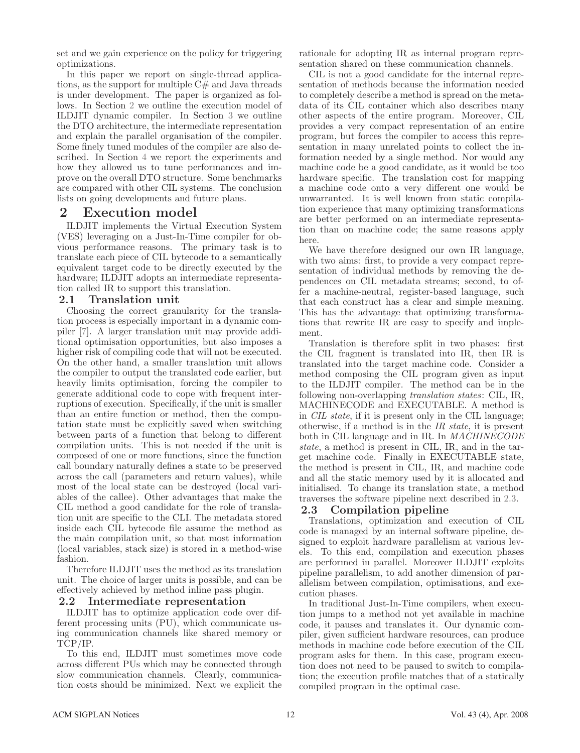set and we gain experience on the policy for triggering optimizations.

In this paper we report on single-thread applications, as the support for multiple  $C\#$  and Java threads is under development. The paper is organized as follows. In Section 2 we outline the execution model of ILDJIT dynamic compiler. In Section 3 we outline the DTO architecture, the intermediate representation and explain the parallel organisation of the compiler. Some finely tuned modules of the compiler are also described. In Section 4 we report the experiments and how they allowed us to tune performances and improve on the overall DTO structure. Some benchmarks are compared with other CIL systems. The conclusion lists on going developments and future plans.

# 2 Execution model

ILDJIT implements the Virtual Execution System (VES) leveraging on a Just-In-Time compiler for obvious performance reasons. The primary task is to translate each piece of CIL bytecode to a semantically equivalent target code to be directly executed by the hardware; ILDJIT adopts an intermediate representation called IR to support this translation.

## 2.1 Translation unit

Choosing the correct granularity for the translation process is especially important in a dynamic compiler [7]. A larger translation unit may provide additional optimisation opportunities, but also imposes a higher risk of compiling code that will not be executed. On the other hand, a smaller translation unit allows the compiler to output the translated code earlier, but heavily limits optimisation, forcing the compiler to generate additional code to cope with frequent interruptions of execution. Specifically, if the unit is smaller than an entire function or method, then the computation state must be explicitly saved when switching between parts of a function that belong to different compilation units. This is not needed if the unit is composed of one or more functions, since the function call boundary naturally defines a state to be preserved across the call (parameters and return values), while most of the local state can be destroyed (local variables of the callee). Other advantages that make the CIL method a good candidate for the role of translation unit are specific to the CLI. The metadata stored inside each CIL bytecode file assume the method as the main compilation unit, so that most information (local variables, stack size) is stored in a method-wise fashion.

Therefore ILDJIT uses the method as its translation unit. The choice of larger units is possible, and can be effectively achieved by method inline pass plugin.

## 2.2 Intermediate representation

ILDJIT has to optimize application code over different processing units (PU), which communicate using communication channels like shared memory or TCP/IP.

To this end, ILDJIT must sometimes move code across different PUs which may be connected through slow communication channels. Clearly, communication costs should be minimized. Next we explicit the

rationale for adopting IR as internal program representation shared on these communication channels.

CIL is not a good candidate for the internal representation of methods because the information needed to completely describe a method is spread on the metadata of its CIL container which also describes many other aspects of the entire program. Moreover, CIL provides a very compact representation of an entire program, but forces the compiler to access this representation in many unrelated points to collect the information needed by a single method. Nor would any machine code be a good candidate, as it would be too hardware specific. The translation cost for mapping a machine code onto a very different one would be unwarranted. It is well known from static compilation experience that many optimizing transformations are better performed on an intermediate representation than on machine code; the same reasons apply here.

We have therefore designed our own IR language, with two aims: first, to provide a very compact representation of individual methods by removing the dependences on CIL metadata streams; second, to offer a machine-neutral, register-based language, such that each construct has a clear and simple meaning. This has the advantage that optimizing transformations that rewrite IR are easy to specify and implement.

Translation is therefore split in two phases: first the CIL fragment is translated into IR, then IR is translated into the target machine code. Consider a method composing the CIL program given as input to the ILDJIT compiler. The method can be in the following non-overlapping *translation states*: CIL, IR, MACHINECODE and EXECUTABLE. A method is in CIL state, if it is present only in the CIL language; otherwise, if a method is in the IR state, it is present both in CIL language and in IR. In MACHINECODE state, a method is present in CIL, IR, and in the target machine code. Finally in EXECUTABLE state, the method is present in CIL, IR, and machine code and all the static memory used by it is allocated and initialised. To change its translation state, a method traverses the software pipeline next described in 2.3.

# 2.3 Compilation pipeline

Translations, optimization and execution of CIL code is managed by an internal software pipeline, designed to exploit hardware parallelism at various levels. To this end, compilation and execution phases are performed in parallel. Moreover ILDJIT exploits pipeline parallelism, to add another dimension of parallelism between compilation, optimisations, and execution phases.

In traditional Just-In-Time compilers, when execution jumps to a method not yet available in machine code, it pauses and translates it. Our dynamic compiler, given sufficient hardware resources, can produce methods in machine code before execution of the CIL program asks for them. In this case, program execution does not need to be paused to switch to compilation; the execution profile matches that of a statically compiled program in the optimal case.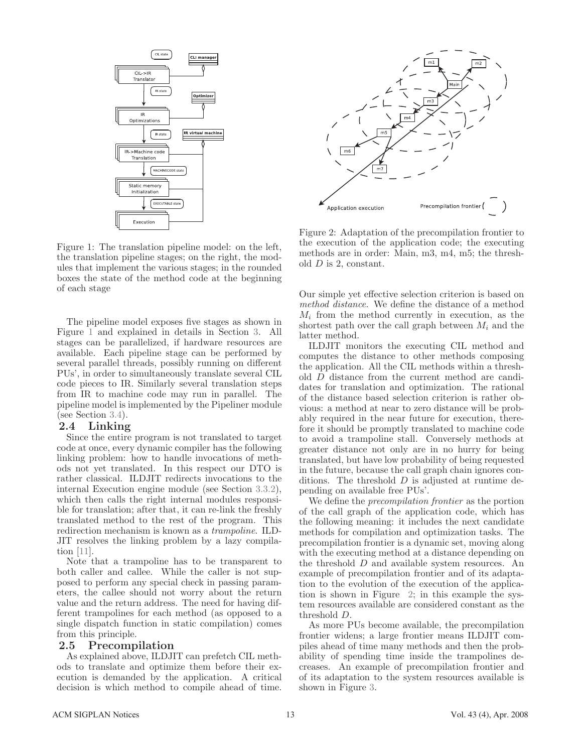

Figure 1: The translation pipeline model: on the left, the translation pipeline stages; on the right, the modules that implement the various stages; in the rounded boxes the state of the method code at the beginning of each stage

The pipeline model exposes five stages as shown in Figure 1 and explained in details in Section 3. All stages can be parallelized, if hardware resources are available. Each pipeline stage can be performed by several parallel threads, possibly running on different PUs', in order to simultaneously translate several CIL code pieces to IR. Similarly several translation steps from IR to machine code may run in parallel. The pipeline model is implemented by the Pipeliner module (see Section 3.4).

### 2.4 Linking

Since the entire program is not translated to target code at once, every dynamic compiler has the following linking problem: how to handle invocations of methods not yet translated. In this respect our DTO is rather classical. ILDJIT redirects invocations to the internal Execution engine module (see Section 3.3.2), which then calls the right internal modules responsible for translation; after that, it can re-link the freshly translated method to the rest of the program. This redirection mechanism is known as a trampoline. ILD-JIT resolves the linking problem by a lazy compilation [11].

Note that a trampoline has to be transparent to both caller and callee. While the caller is not supposed to perform any special check in passing parameters, the callee should not worry about the return value and the return address. The need for having different trampolines for each method (as opposed to a single dispatch function in static compilation) comes from this principle.

#### 2.5 Precompilation

As explained above, ILDJIT can prefetch CIL methods to translate and optimize them before their execution is demanded by the application. A critical decision is which method to compile ahead of time.



Figure 2: Adaptation of the precompilation frontier to the execution of the application code; the executing methods are in order: Main, m3, m4, m5; the threshold D is 2, constant.

Our simple yet effective selection criterion is based on method distance. We define the distance of a method  $M_i$  from the method currently in execution, as the shortest path over the call graph between  $M_i$  and the latter method.

ILDJIT monitors the executing CIL method and computes the distance to other methods composing the application. All the CIL methods within a threshold D distance from the current method are candidates for translation and optimization. The rational of the distance based selection criterion is rather obvious: a method at near to zero distance will be probably required in the near future for execution, therefore it should be promptly translated to machine code to avoid a trampoline stall. Conversely methods at greater distance not only are in no hurry for being translated, but have low probability of being requested in the future, because the call graph chain ignores conditions. The threshold  $D$  is adjusted at runtime depending on available free PUs'.

We define the precompilation frontier as the portion of the call graph of the application code, which has the following meaning: it includes the next candidate methods for compilation and optimization tasks. The precompilation frontier is a dynamic set, moving along with the executing method at a distance depending on the threshold D and available system resources. An example of precompilation frontier and of its adaptation to the evolution of the execution of the application is shown in Figure 2; in this example the system resources available are considered constant as the threshold D.

As more PUs become available, the precompilation frontier widens; a large frontier means ILDJIT compiles ahead of time many methods and then the probability of spending time inside the trampolines decreases. An example of precompilation frontier and of its adaptation to the system resources available is shown in Figure 3.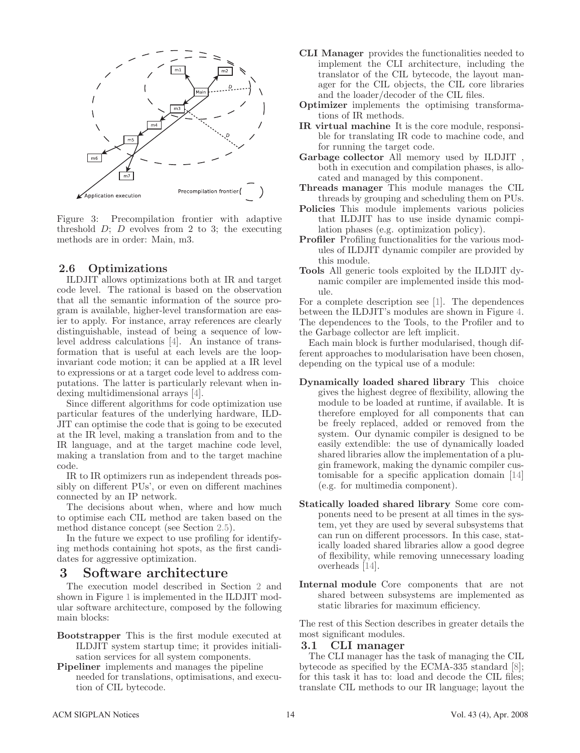

Figure 3: Precompilation frontier with adaptive threshold  $D$ ;  $D$  evolves from 2 to 3; the executing methods are in order: Main, m3.

## 2.6 Optimizations

ILDJIT allows optimizations both at IR and target code level. The rational is based on the observation that all the semantic information of the source program is available, higher-level transformation are easier to apply. For instance, array references are clearly distinguishable, instead of being a sequence of lowlevel address calculations [4]. An instance of transformation that is useful at each levels are the loopinvariant code motion; it can be applied at a IR level to expressions or at a target code level to address computations. The latter is particularly relevant when indexing multidimensional arrays [4].

Since different algorithms for code optimization use particular features of the underlying hardware, ILD-JIT can optimise the code that is going to be executed at the IR level, making a translation from and to the IR language, and at the target machine code level, making a translation from and to the target machine code.

IR to IR optimizers run as independent threads possibly on different PUs', or even on different machines connected by an IP network.

The decisions about when, where and how much to optimise each CIL method are taken based on the method distance concept (see Section 2.5).

In the future we expect to use profiling for identifying methods containing hot spots, as the first candidates for aggressive optimization.

## 3 Software architecture

The execution model described in Section 2 and shown in Figure 1 is implemented in the ILDJIT modular software architecture, composed by the following main blocks:

- Bootstrapper This is the first module executed at ILDJIT system startup time; it provides initialisation services for all system components.
- Pipeliner implements and manages the pipeline needed for translations, optimisations, and execution of CIL bytecode.
- CLI Manager provides the functionalities needed to implement the CLI architecture, including the translator of the CIL bytecode, the layout manager for the CIL objects, the CIL core libraries and the loader/decoder of the CIL files.
- Optimizer implements the optimising transformations of IR methods.
- IR virtual machine It is the core module, responsible for translating IR code to machine code, and for running the target code.
- Garbage collector All memory used by ILDJIT , both in execution and compilation phases, is allocated and managed by this component.
- Threads manager This module manages the CIL threads by grouping and scheduling them on PUs.
- Policies This module implements various policies that ILDJIT has to use inside dynamic compilation phases (e.g. optimization policy).
- Profiler Profiling functionalities for the various modules of ILDJIT dynamic compiler are provided by this module.
- Tools All generic tools exploited by the ILDJIT dynamic compiler are implemented inside this module.

For a complete description see [1]. The dependences between the ILDJIT's modules are shown in Figure 4. The dependences to the Tools, to the Profiler and to the Garbage collector are left implicit.

Each main block is further modularised, though different approaches to modularisation have been chosen, depending on the typical use of a module:

- Dynamically loaded shared library This choice gives the highest degree of flexibility, allowing the module to be loaded at runtime, if available. It is therefore employed for all components that can be freely replaced, added or removed from the system. Our dynamic compiler is designed to be easily extendible: the use of dynamically loaded shared libraries allow the implementation of a plugin framework, making the dynamic compiler customisable for a specific application domain [14] (e.g. for multimedia component).
- Statically loaded shared library Some core components need to be present at all times in the system, yet they are used by several subsystems that can run on different processors. In this case, statically loaded shared libraries allow a good degree of flexibility, while removing unnecessary loading overheads [14].
- Internal module Core components that are not shared between subsystems are implemented as static libraries for maximum efficiency.

The rest of this Section describes in greater details the most significant modules.

## 3.1 CLI manager

The CLI manager has the task of managing the CIL bytecode as specified by the ECMA-335 standard [8]; for this task it has to: load and decode the CIL files; translate CIL methods to our IR language; layout the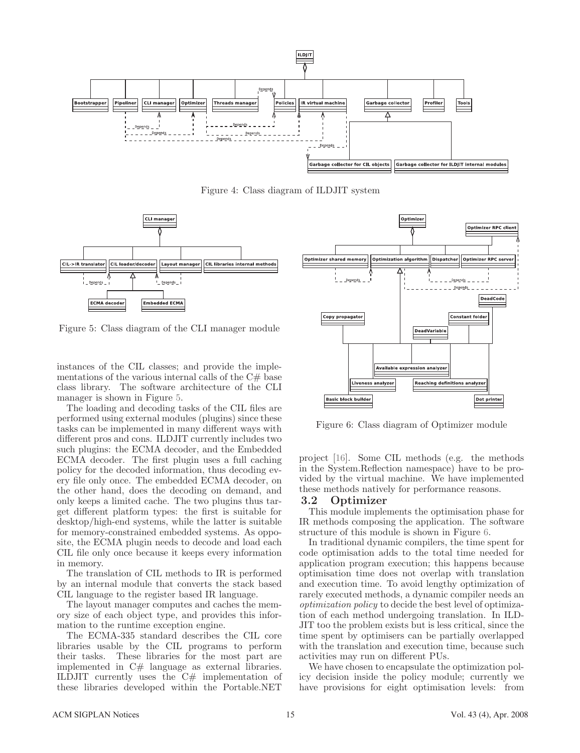

Figure 4: Class diagram of ILDJIT system



Figure 5: Class diagram of the CLI manager module

instances of the CIL classes; and provide the implementations of the various internal calls of the  $C#$  base class library. The software architecture of the CLI manager is shown in Figure 5.

The loading and decoding tasks of the CIL files are performed using external modules (plugins) since these tasks can be implemented in many different ways with different pros and cons. ILDJIT currently includes two such plugins: the ECMA decoder, and the Embedded ECMA decoder. The first plugin uses a full caching policy for the decoded information, thus decoding every file only once. The embedded ECMA decoder, on the other hand, does the decoding on demand, and only keeps a limited cache. The two plugins thus target different platform types: the first is suitable for desktop/high-end systems, while the latter is suitable for memory-constrained embedded systems. As opposite, the ECMA plugin needs to decode and load each CIL file only once because it keeps every information in memory.

The translation of CIL methods to IR is performed by an internal module that converts the stack based CIL language to the register based IR language.

The layout manager computes and caches the memory size of each object type, and provides this information to the runtime exception engine.

The ECMA-335 standard describes the CIL core libraries usable by the CIL programs to perform their tasks. These libraries for the most part are implemented in C# language as external libraries. ILDJIT currently uses the C# implementation of these libraries developed within the Portable.NET



Figure 6: Class diagram of Optimizer module

project [16]. Some CIL methods (e.g. the methods in the System.Reflection namespace) have to be provided by the virtual machine. We have implemented these methods natively for performance reasons.

#### 3.2 Optimizer

This module implements the optimisation phase for IR methods composing the application. The software structure of this module is shown in Figure 6.

In traditional dynamic compilers, the time spent for code optimisation adds to the total time needed for application program execution; this happens because optimisation time does not overlap with translation and execution time. To avoid lengthy optimization of rarely executed methods, a dynamic compiler needs an optimization policy to decide the best level of optimization of each method undergoing translation. In ILD-JIT too the problem exists but is less critical, since the time spent by optimisers can be partially overlapped with the translation and execution time, because such activities may run on different PUs.

We have chosen to encapsulate the optimization policy decision inside the policy module; currently we have provisions for eight optimisation levels: from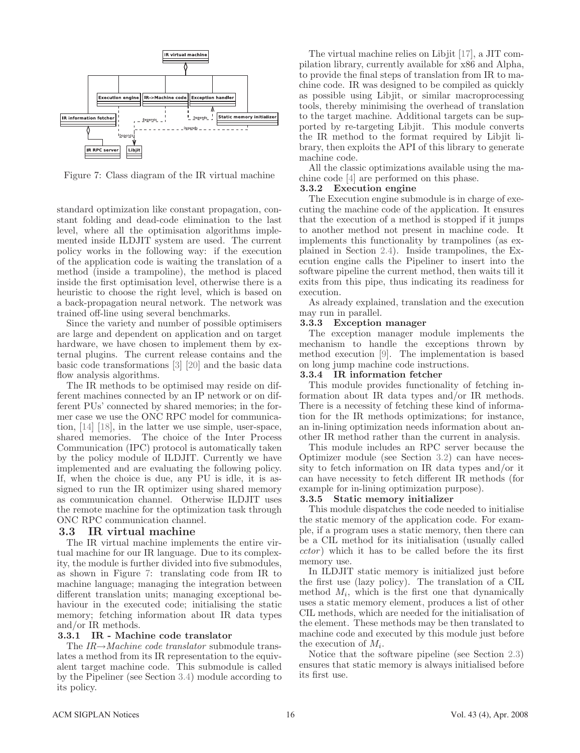

Figure 7: Class diagram of the IR virtual machine

standard optimization like constant propagation, constant folding and dead-code elimination to the last level, where all the optimisation algorithms implemented inside ILDJIT system are used. The current policy works in the following way: if the execution of the application code is waiting the translation of a method (inside a trampoline), the method is placed inside the first optimisation level, otherwise there is a heuristic to choose the right level, which is based on a back-propagation neural network. The network was trained off-line using several benchmarks.

Since the variety and number of possible optimisers are large and dependent on application and on target hardware, we have chosen to implement them by external plugins. The current release contains and the basic code transformations [3] [20] and the basic data flow analysis algorithms.

The IR methods to be optimised may reside on different machines connected by an IP network or on different PUs' connected by shared memories; in the former case we use the ONC RPC model for communication, [14] [18], in the latter we use simple, user-space, shared memories. The choice of the Inter Process Communication (IPC) protocol is automatically taken by the policy module of ILDJIT. Currently we have implemented and are evaluating the following policy. If, when the choice is due, any PU is idle, it is assigned to run the IR optimizer using shared memory as communication channel. Otherwise ILDJIT uses the remote machine for the optimization task through ONC RPC communication channel.

#### 3.3 IR virtual machine

The IR virtual machine implements the entire virtual machine for our IR language. Due to its complexity, the module is further divided into five submodules, as shown in Figure 7: translating code from IR to machine language; managing the integration between different translation units; managing exceptional behaviour in the executed code; initialising the static memory; fetching information about IR data types and/or IR methods.

#### 3.3.1 IR - Machine code translator

The  $IR \rightarrow Machine\ code$  translator submodule translates a method from its IR representation to the equivalent target machine code. This submodule is called by the Pipeliner (see Section 3.4) module according to its policy.

The virtual machine relies on Libjit [17], a JIT compilation library, currently available for x86 and Alpha, to provide the final steps of translation from IR to machine code. IR was designed to be compiled as quickly as possible using Libjit, or similar macroprocessing tools, thereby minimising the overhead of translation to the target machine. Additional targets can be supported by re-targeting Libjit. This module converts the IR method to the format required by Libjit library, then exploits the API of this library to generate machine code.

All the classic optimizations available using the machine code [4] are performed on this phase.

## 3.3.2 Execution engine

The Execution engine submodule is in charge of executing the machine code of the application. It ensures that the execution of a method is stopped if it jumps to another method not present in machine code. It implements this functionality by trampolines (as explained in Section 2.4). Inside trampolines, the Execution engine calls the Pipeliner to insert into the software pipeline the current method, then waits till it exits from this pipe, thus indicating its readiness for execution.

As already explained, translation and the execution may run in parallel.

#### 3.3.3 Exception manager

The exception manager module implements the mechanism to handle the exceptions thrown by method execution [9]. The implementation is based on long jump machine code instructions.

#### 3.3.4 IR information fetcher

This module provides functionality of fetching information about IR data types and/or IR methods. There is a necessity of fetching these kind of information for the IR methods optimizations; for instance, an in-lining optimization needs information about another IR method rather than the current in analysis.

This module includes an RPC server because the Optimizer module (see Section 3.2) can have necessity to fetch information on IR data types and/or it can have necessity to fetch different IR methods (for example for in-lining optimization purpose).

#### 3.3.5 Static memory initializer

This module dispatches the code needed to initialise the static memory of the application code. For example, if a program uses a static memory, then there can be a CIL method for its initialisation (usually called cctor) which it has to be called before the its first memory use.

In ILDJIT static memory is initialized just before the first use (lazy policy). The translation of a CIL method  $M_i$ , which is the first one that dynamically uses a static memory element, produces a list of other CIL methods, which are needed for the initialisation of the element. These methods may be then translated to machine code and executed by this module just before the execution of  $M_i$ .

Notice that the software pipeline (see Section 2.3) ensures that static memory is always initialised before its first use.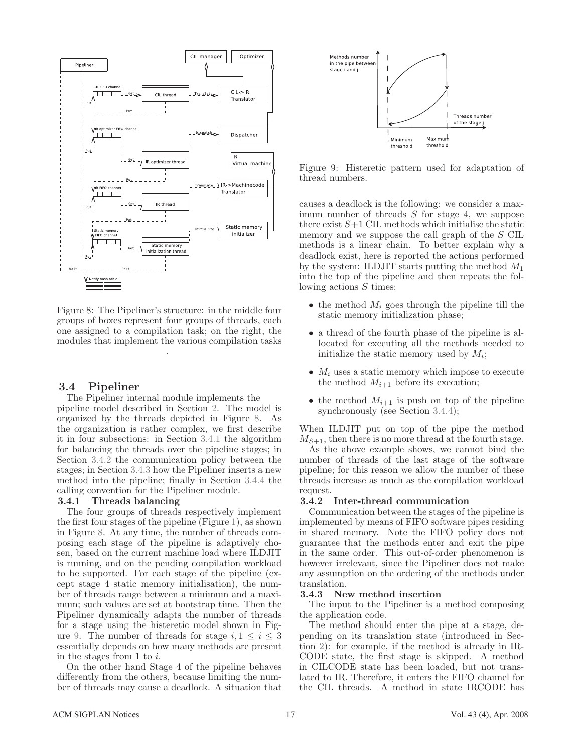

Figure 8: The Pipeliner's structure: in the middle four groups of boxes represent four groups of threads, each one assigned to a compilation task; on the right, the modules that implement the various compilation tasks

.

## 3.4 Pipeliner

The Pipeliner internal module implements the pipeline model described in Section 2. The model is organized by the threads depicted in Figure 8. As the organization is rather complex, we first describe it in four subsections: in Section 3.4.1 the algorithm for balancing the threads over the pipeline stages; in Section 3.4.2 the communication policy between the stages; in Section 3.4.3 how the Pipeliner inserts a new method into the pipeline; finally in Section 3.4.4 the calling convention for the Pipeliner module.

## 3.4.1 Threads balancing

The four groups of threads respectively implement the first four stages of the pipeline (Figure 1), as shown in Figure 8. At any time, the number of threads composing each stage of the pipeline is adaptively chosen, based on the current machine load where ILDJIT is running, and on the pending compilation workload to be supported. For each stage of the pipeline (except stage 4 static memory initialisation), the number of threads range between a minimum and a maximum; such values are set at bootstrap time. Then the Pipeliner dynamically adapts the number of threads for a stage using the histeretic model shown in Figure 9. The number of threads for stage  $i, 1 \leq i \leq 3$ essentially depends on how many methods are present in the stages from 1 to i.

On the other hand Stage 4 of the pipeline behaves differently from the others, because limiting the number of threads may cause a deadlock. A situation that



Figure 9: Histeretic pattern used for adaptation of thread numbers.

causes a deadlock is the following: we consider a maximum number of threads  $S$  for stage 4, we suppose there exist  $S+1$  CIL methods which initialise the static memory and we suppose the call graph of the S CIL methods is a linear chain. To better explain why a deadlock exist, here is reported the actions performed by the system: ILDJIT starts putting the method  $M_1$ into the top of the pipeline and then repeats the following actions S times:

- the method  $M_i$  goes through the pipeline till the static memory initialization phase;
- a thread of the fourth phase of the pipeline is allocated for executing all the methods needed to initialize the static memory used by  $M_i$ ;
- $M_i$  uses a static memory which impose to execute the method  $M_{i+1}$  before its execution;
- the method  $M_{i+1}$  is push on top of the pipeline synchronously (see Section 3.4.4);

When ILDJIT put on top of the pipe the method  $M_{S+1}$ , then there is no more thread at the fourth stage.

As the above example shows, we cannot bind the number of threads of the last stage of the software pipeline; for this reason we allow the number of these threads increase as much as the compilation workload request.

#### 3.4.2 Inter-thread communication

Communication between the stages of the pipeline is implemented by means of FIFO software pipes residing in shared memory. Note the FIFO policy does not guarantee that the methods enter and exit the pipe in the same order. This out-of-order phenomenon is however irrelevant, since the Pipeliner does not make any assumption on the ordering of the methods under translation.

#### 3.4.3 New method insertion

The input to the Pipeliner is a method composing the application code.

The method should enter the pipe at a stage, depending on its translation state (introduced in Section 2): for example, if the method is already in IR-CODE state, the first stage is skipped. A method in CILCODE state has been loaded, but not translated to IR. Therefore, it enters the FIFO channel for the CIL threads. A method in state IRCODE has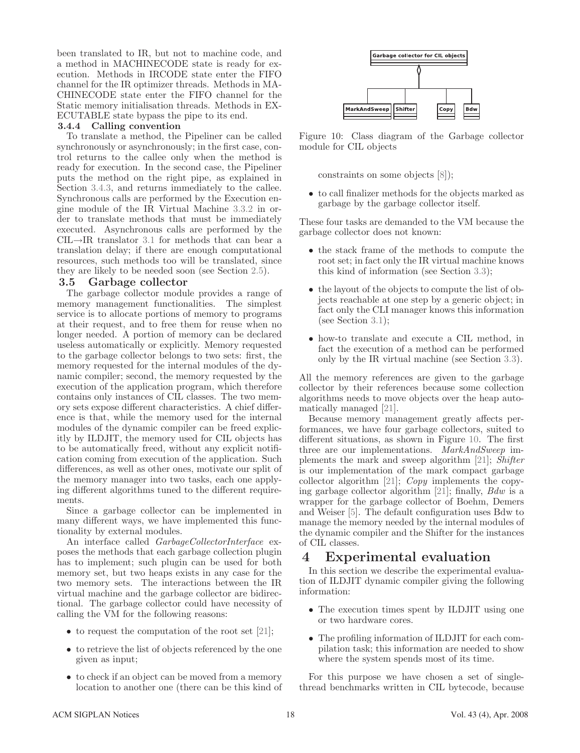been translated to IR, but not to machine code, and a method in MACHINECODE state is ready for execution. Methods in IRCODE state enter the FIFO channel for the IR optimizer threads. Methods in MA-CHINECODE state enter the FIFO channel for the Static memory initialisation threads. Methods in EX-ECUTABLE state bypass the pipe to its end.

#### 3.4.4 Calling convention

To translate a method, the Pipeliner can be called synchronously or asynchronously; in the first case, control returns to the callee only when the method is ready for execution. In the second case, the Pipeliner puts the method on the right pipe, as explained in Section 3.4.3, and returns immediately to the callee. Synchronous calls are performed by the Execution engine module of the IR Virtual Machine 3.3.2 in order to translate methods that must be immediately executed. Asynchronous calls are performed by the CIL→IR translator 3.1 for methods that can bear a translation delay; if there are enough computational resources, such methods too will be translated, since they are likely to be needed soon (see Section 2.5).

## 3.5 Garbage collector

The garbage collector module provides a range of memory management functionalities. The simplest service is to allocate portions of memory to programs at their request, and to free them for reuse when no longer needed. A portion of memory can be declared useless automatically or explicitly. Memory requested to the garbage collector belongs to two sets: first, the memory requested for the internal modules of the dynamic compiler; second, the memory requested by the execution of the application program, which therefore contains only instances of CIL classes. The two memory sets expose different characteristics. A chief difference is that, while the memory used for the internal modules of the dynamic compiler can be freed explicitly by ILDJIT, the memory used for CIL objects has to be automatically freed, without any explicit notification coming from execution of the application. Such differences, as well as other ones, motivate our split of the memory manager into two tasks, each one applying different algorithms tuned to the different requirements.

Since a garbage collector can be implemented in many different ways, we have implemented this functionality by external modules.

An interface called *GarbageCollectorInterface* exposes the methods that each garbage collection plugin has to implement; such plugin can be used for both memory set, but two heaps exists in any case for the two memory sets. The interactions between the IR virtual machine and the garbage collector are bidirectional. The garbage collector could have necessity of calling the VM for the following reasons:

- to request the computation of the root set  $[21]$ ;
- to retrieve the list of objects referenced by the one given as input;
- to check if an object can be moved from a memory location to another one (there can be this kind of



Figure 10: Class diagram of the Garbage collector module for CIL objects

constraints on some objects [8]);

• to call finalizer methods for the objects marked as garbage by the garbage collector itself.

These four tasks are demanded to the VM because the garbage collector does not known:

- the stack frame of the methods to compute the root set; in fact only the IR virtual machine knows this kind of information (see Section 3.3);
- the layout of the objects to compute the list of objects reachable at one step by a generic object; in fact only the CLI manager knows this information (see Section 3.1);
- how-to translate and execute a CIL method, in fact the execution of a method can be performed only by the IR virtual machine (see Section 3.3).

All the memory references are given to the garbage collector by their references because some collection algorithms needs to move objects over the heap automatically managed [21].

Because memory management greatly affects performances, we have four garbage collectors, suited to different situations, as shown in Figure 10. The first three are our implementations. MarkAndSweep implements the mark and sweep algorithm [21]; Shifter is our implementation of the mark compact garbage collector algorithm [21];  $Copy$  implements the copying garbage collector algorithm [21]; finally, Bdw is a wrapper for the garbage collector of Boehm, Demers and Weiser [5]. The default configuration uses Bdw to manage the memory needed by the internal modules of the dynamic compiler and the Shifter for the instances of CIL classes.

# 4 Experimental evaluation

In this section we describe the experimental evaluation of ILDJIT dynamic compiler giving the following information:

- The execution times spent by ILDJIT using one or two hardware cores.
- The profiling information of ILDJIT for each compilation task; this information are needed to show where the system spends most of its time.

For this purpose we have chosen a set of singlethread benchmarks written in CIL bytecode, because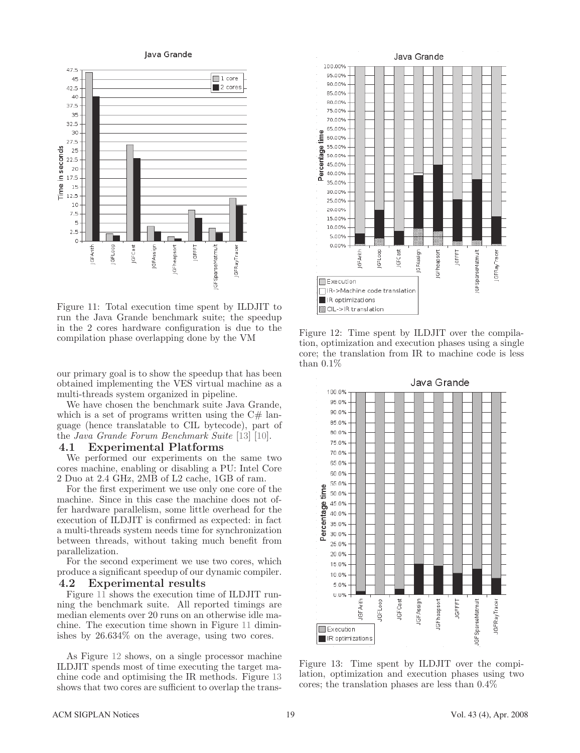

Figure 11: Total execution time spent by ILDJIT to run the Java Grande benchmark suite; the speedup in the 2 cores hardware configuration is due to the compilation phase overlapping done by the VM

our primary goal is to show the speedup that has been obtained implementing the VES virtual machine as a multi-threads system organized in pipeline.

We have chosen the benchmark suite Java Grande, which is a set of programs written using the  $C#$  language (hence translatable to CIL bytecode), part of the Java Grande Forum Benchmark Suite [13] [10].

#### 4.1 Experimental Platforms

We performed our experiments on the same two cores machine, enabling or disabling a PU: Intel Core 2 Duo at 2.4 GHz, 2MB of L2 cache, 1GB of ram.

For the first experiment we use only one core of the machine. Since in this case the machine does not offer hardware parallelism, some little overhead for the execution of ILDJIT is confirmed as expected: in fact a multi-threads system needs time for synchronization between threads, without taking much benefit from parallelization.

For the second experiment we use two cores, which produce a significant speedup of our dynamic compiler.

# 4.2 Experimental results

Figure 11 shows the execution time of ILDJIT running the benchmark suite. All reported timings are median elements over 20 runs on an otherwise idle machine. The execution time shown in Figure 11 diminishes by 26.634% on the average, using two cores.

As Figure 12 shows, on a single processor machine ILDJIT spends most of time executing the target machine code and optimising the IR methods. Figure 13 shows that two cores are sufficient to overlap the trans-



Figure 12: Time spent by ILDJIT over the compilation, optimization and execution phases using a single core; the translation from IR to machine code is less than 0.1%



Figure 13: Time spent by ILDJIT over the compilation, optimization and execution phases using two cores; the translation phases are less than 0.4%